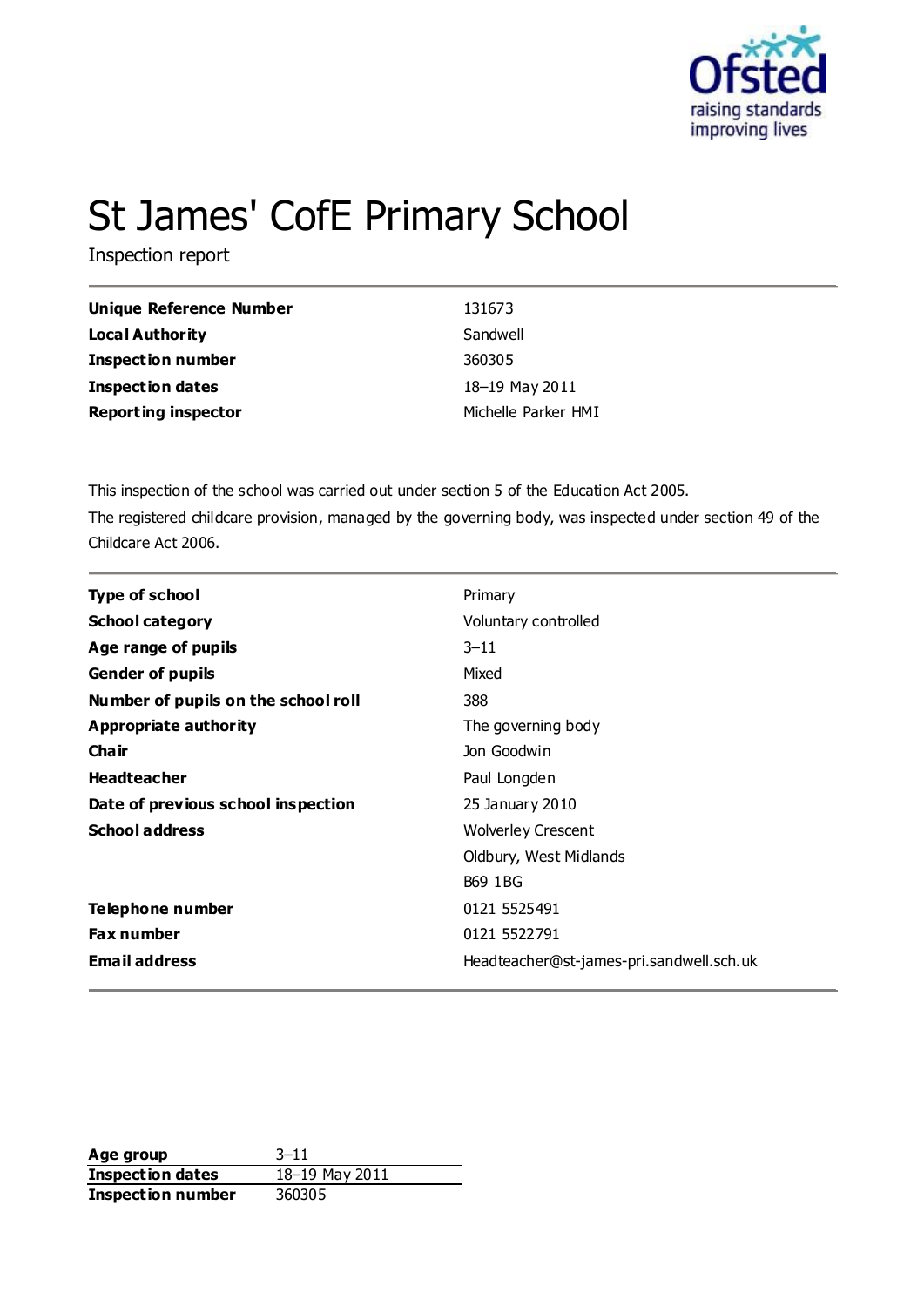

# St James' CofE Primary School

Inspection report

| Unique Reference Number    | 131673              |
|----------------------------|---------------------|
| Local Authority            | Sandwell            |
| <b>Inspection number</b>   | 360305              |
| <b>Inspection dates</b>    | 18-19 May 2011      |
| <b>Reporting inspector</b> | Michelle Parker HMI |

This inspection of the school was carried out under section 5 of the Education Act 2005. The registered childcare provision, managed by the governing body, was inspected under section 49 of the Childcare Act 2006.

| <b>Type of school</b>               | Primary                                  |  |  |
|-------------------------------------|------------------------------------------|--|--|
| <b>School category</b>              | Voluntary controlled                     |  |  |
| Age range of pupils                 | $3 - 11$                                 |  |  |
| <b>Gender of pupils</b>             | Mixed                                    |  |  |
| Number of pupils on the school roll | 388                                      |  |  |
| <b>Appropriate authority</b>        | The governing body                       |  |  |
| Cha ir                              | Jon Goodwin                              |  |  |
| <b>Headteacher</b>                  | Paul Longden                             |  |  |
| Date of previous school inspection  | 25 January 2010                          |  |  |
| <b>School address</b>               | <b>Wolverley Crescent</b>                |  |  |
|                                     | Oldbury, West Midlands                   |  |  |
|                                     | <b>B69 1BG</b>                           |  |  |
| Telephone number                    | 0121 5525491                             |  |  |
| <b>Fax number</b>                   | 0121 5522791                             |  |  |
| <b>Email address</b>                | Headteacher@st-james-pri.sandwell.sch.uk |  |  |

**Age group** 3-11<br> **Inspection dates** 18-19 May 2011 **Inspection dates Inspection number** 360305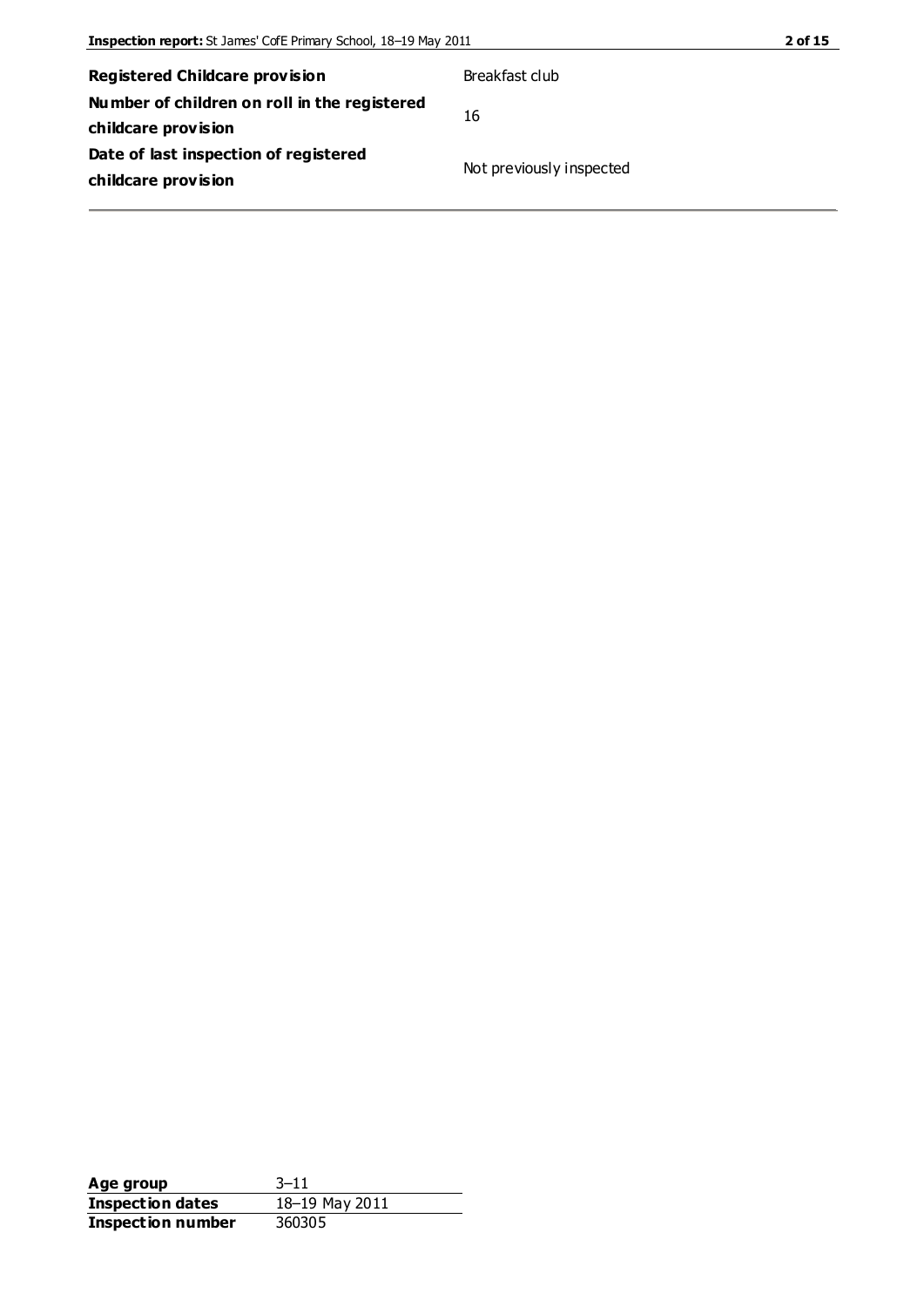| Registered Childcare provision               | Breakfast club           |
|----------------------------------------------|--------------------------|
| Number of children on roll in the registered | 16                       |
| childcare provision                          |                          |
| Date of last inspection of registered        | Not previously inspected |
| childcare provision                          |                          |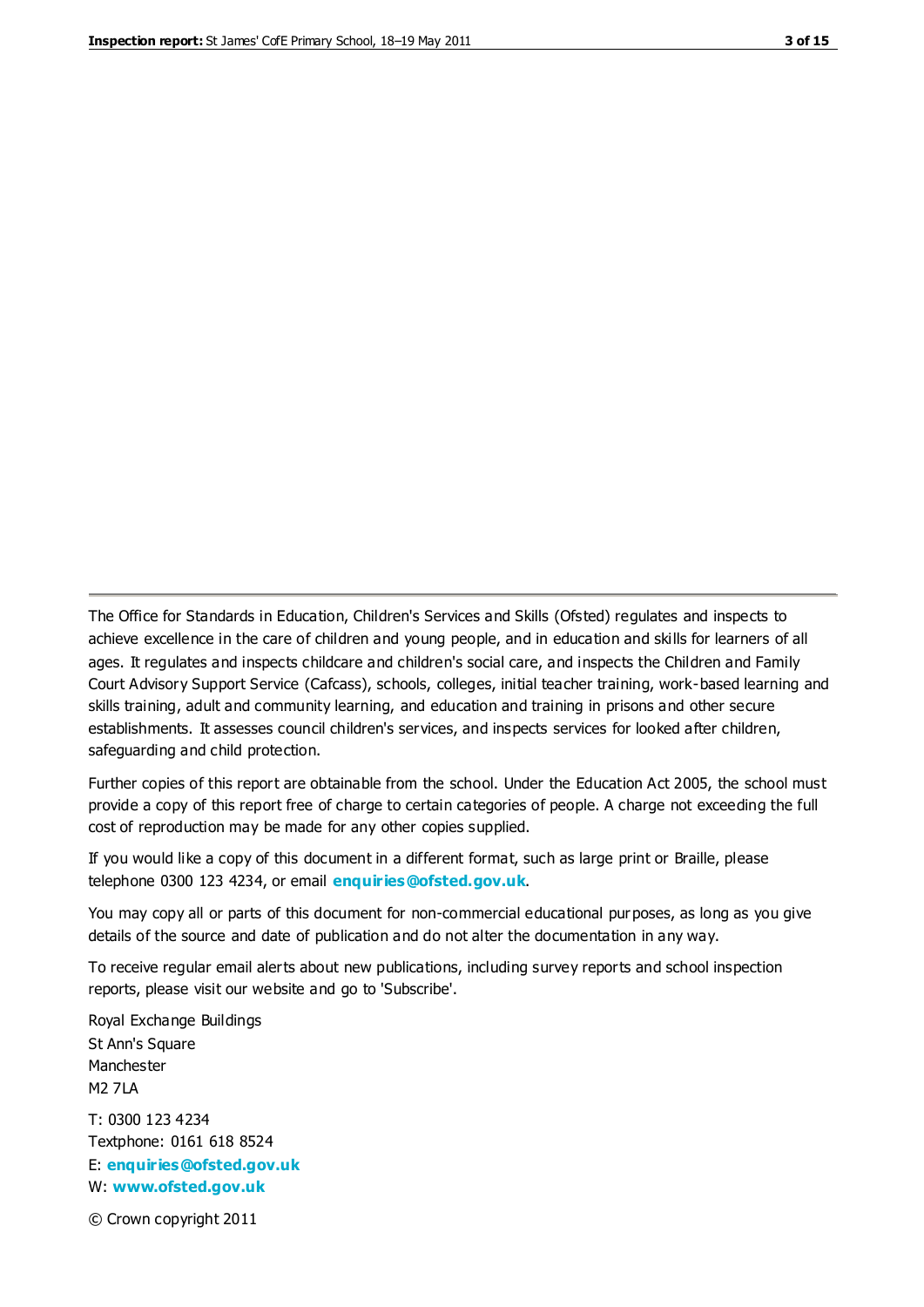The Office for Standards in Education, Children's Services and Skills (Ofsted) regulates and inspects to achieve excellence in the care of children and young people, and in education and skills for learners of all ages. It regulates and inspects childcare and children's social care, and inspects the Children and Family Court Advisory Support Service (Cafcass), schools, colleges, initial teacher training, work-based learning and skills training, adult and community learning, and education and training in prisons and other secure establishments. It assesses council children's services, and inspects services for looked after children, safeguarding and child protection.

Further copies of this report are obtainable from the school. Under the Education Act 2005, the school must provide a copy of this report free of charge to certain categories of people. A charge not exceeding the full cost of reproduction may be made for any other copies supplied.

If you would like a copy of this document in a different format, such as large print or Braille, please telephone 0300 123 4234, or email **[enquiries@ofsted.gov.uk](mailto:enquiries@ofsted.gov.uk)**.

You may copy all or parts of this document for non-commercial educational purposes, as long as you give details of the source and date of publication and do not alter the documentation in any way.

To receive regular email alerts about new publications, including survey reports and school inspection reports, please visit our website and go to 'Subscribe'.

Royal Exchange Buildings St Ann's Square Manchester M2 7LA T: 0300 123 4234 Textphone: 0161 618 8524 E: **[enquiries@ofsted.gov.uk](mailto:enquiries@ofsted.gov.uk)**

W: **[www.ofsted.gov.uk](http://www.ofsted.gov.uk/)**

© Crown copyright 2011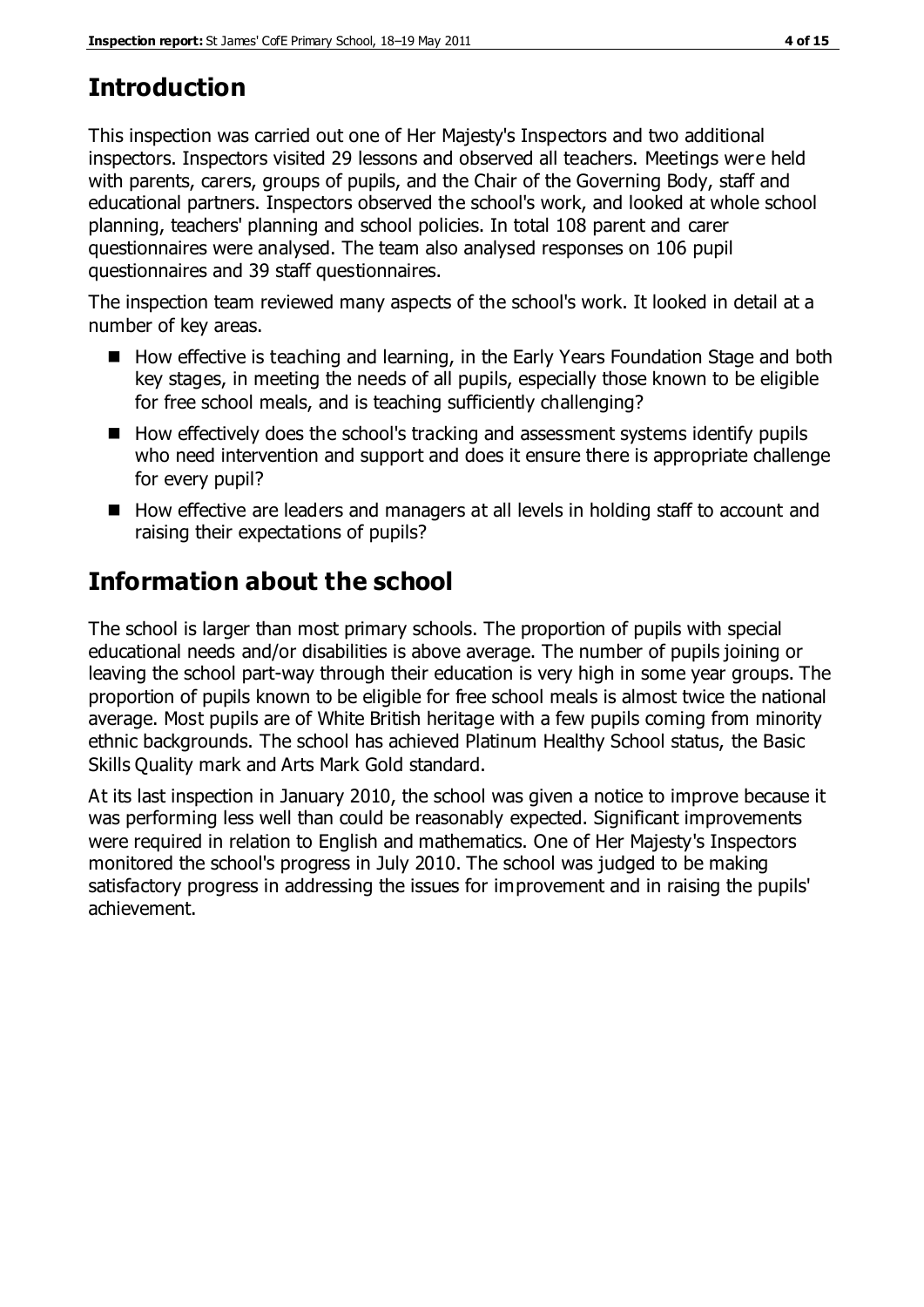# **Introduction**

This inspection was carried out one of Her Majesty's Inspectors and two additional inspectors. Inspectors visited 29 lessons and observed all teachers. Meetings were held with parents, carers, groups of pupils, and the Chair of the Governing Body, staff and educational partners. Inspectors observed the school's work, and looked at whole school planning, teachers' planning and school policies. In total 108 parent and carer questionnaires were analysed. The team also analysed responses on 106 pupil questionnaires and 39 staff questionnaires.

The inspection team reviewed many aspects of the school's work. It looked in detail at a number of key areas.

- How effective is teaching and learning, in the Early Years Foundation Stage and both key stages, in meeting the needs of all pupils, especially those known to be eligible for free school meals, and is teaching sufficiently challenging?
- $\blacksquare$  How effectively does the school's tracking and assessment systems identify pupils who need intervention and support and does it ensure there is appropriate challenge for every pupil?
- How effective are leaders and managers at all levels in holding staff to account and raising their expectations of pupils?

# **Information about the school**

The school is larger than most primary schools. The proportion of pupils with special educational needs and/or disabilities is above average. The number of pupils joining or leaving the school part-way through their education is very high in some year groups. The proportion of pupils known to be eligible for free school meals is almost twice the national average. Most pupils are of White British heritage with a few pupils coming from minority ethnic backgrounds. The school has achieved Platinum Healthy School status, the Basic Skills Quality mark and Arts Mark Gold standard.

At its last inspection in January 2010, the school was given a notice to improve because it was performing less well than could be reasonably expected. Significant improvements were required in relation to English and mathematics. One of Her Majesty's Inspectors monitored the school's progress in July 2010. The school was judged to be making satisfactory progress in addressing the issues for improvement and in raising the pupils' achievement.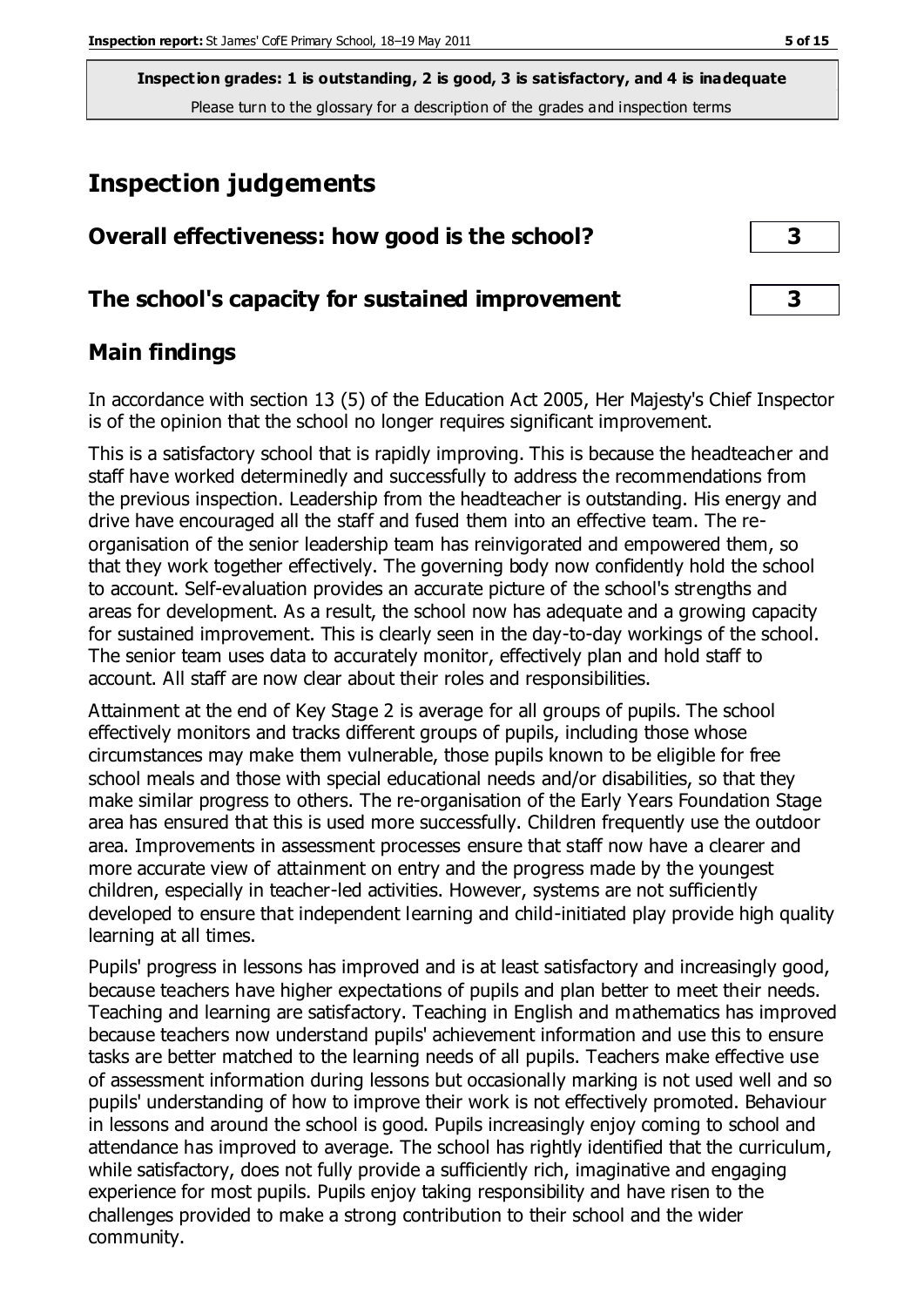# **Inspection judgements**

| Overall effectiveness: how good is the school?  | 3 |  |
|-------------------------------------------------|---|--|
| The school's capacity for sustained improvement | 3 |  |

# **Main findings**

In accordance with section 13 (5) of the Education Act 2005, Her Majesty's Chief Inspector is of the opinion that the school no longer requires significant improvement.

This is a satisfactory school that is rapidly improving. This is because the headteacher and staff have worked determinedly and successfully to address the recommendations from the previous inspection. Leadership from the headteacher is outstanding. His energy and drive have encouraged all the staff and fused them into an effective team. The reorganisation of the senior leadership team has reinvigorated and empowered them, so that they work together effectively. The governing body now confidently hold the school to account. Self-evaluation provides an accurate picture of the school's strengths and areas for development. As a result, the school now has adequate and a growing capacity for sustained improvement. This is clearly seen in the day-to-day workings of the school. The senior team uses data to accurately monitor, effectively plan and hold staff to account. All staff are now clear about their roles and responsibilities.

Attainment at the end of Key Stage 2 is average for all groups of pupils. The school effectively monitors and tracks different groups of pupils, including those whose circumstances may make them vulnerable, those pupils known to be eligible for free school meals and those with special educational needs and/or disabilities, so that they make similar progress to others. The re-organisation of the Early Years Foundation Stage area has ensured that this is used more successfully. Children frequently use the outdoor area. Improvements in assessment processes ensure that staff now have a clearer and more accurate view of attainment on entry and the progress made by the youngest children, especially in teacher-led activities. However, systems are not sufficiently developed to ensure that independent learning and child-initiated play provide high quality learning at all times.

Pupils' progress in lessons has improved and is at least satisfactory and increasingly good, because teachers have higher expectations of pupils and plan better to meet their needs. Teaching and learning are satisfactory. Teaching in English and mathematics has improved because teachers now understand pupils' achievement information and use this to ensure tasks are better matched to the learning needs of all pupils. Teachers make effective use of assessment information during lessons but occasionally marking is not used well and so pupils' understanding of how to improve their work is not effectively promoted. Behaviour in lessons and around the school is good. Pupils increasingly enjoy coming to school and attendance has improved to average. The school has rightly identified that the curriculum, while satisfactory, does not fully provide a sufficiently rich, imaginative and engaging experience for most pupils. Pupils enjoy taking responsibility and have risen to the challenges provided to make a strong contribution to their school and the wider community.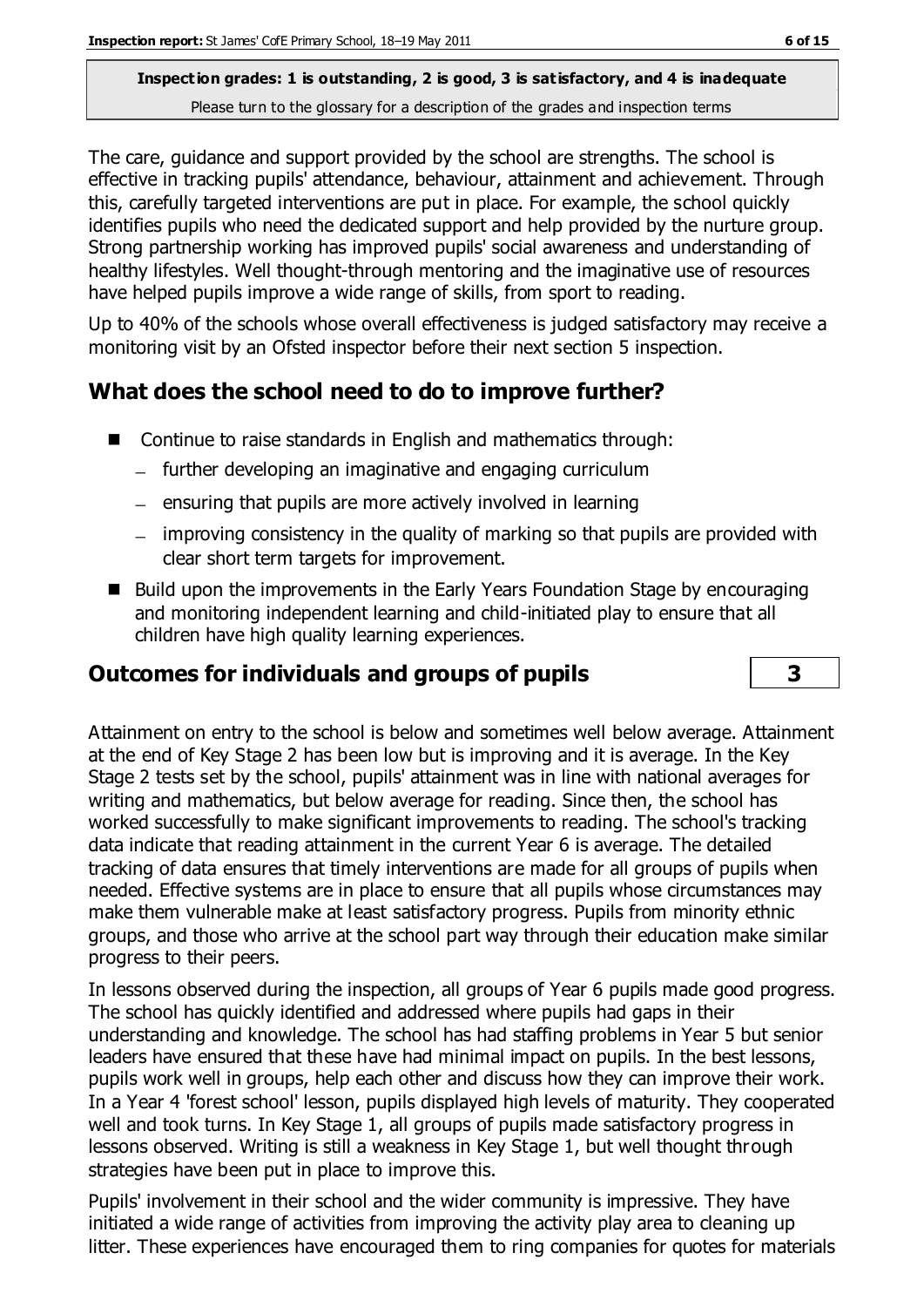The care, guidance and support provided by the school are strengths. The school is effective in tracking pupils' attendance, behaviour, attainment and achievement. Through this, carefully targeted interventions are put in place. For example, the school quickly identifies pupils who need the dedicated support and help provided by the nurture group. Strong partnership working has improved pupils' social awareness and understanding of healthy lifestyles. Well thought-through mentoring and the imaginative use of resources have helped pupils improve a wide range of skills, from sport to reading.

Up to 40% of the schools whose overall effectiveness is judged satisfactory may receive a monitoring visit by an Ofsted inspector before their next section 5 inspection.

# **What does the school need to do to improve further?**

- Continue to raise standards in English and mathematics through:
	- further developing an imaginative and engaging curriculum
	- $-$  ensuring that pupils are more actively involved in learning
	- improving consistency in the quality of marking so that pupils are provided with clear short term targets for improvement.
- Build upon the improvements in the Early Years Foundation Stage by encouraging and monitoring independent learning and child-initiated play to ensure that all children have high quality learning experiences.

# **Outcomes for individuals and groups of pupils 3**

In lessons observed during the inspection, all groups of Year 6 pupils made good progress. The school has quickly identified and addressed where pupils had gaps in their understanding and knowledge. The school has had staffing problems in Year 5 but senior leaders have ensured that these have had minimal impact on pupils. In the best lessons, pupils work well in groups, help each other and discuss how they can improve their work. In a Year 4 'forest school' lesson, pupils displayed high levels of maturity. They cooperated well and took turns. In Key Stage 1, all groups of pupils made satisfactory progress in lessons observed. Writing is still a weakness in Key Stage 1, but well thought through strategies have been put in place to improve this.

Pupils' involvement in their school and the wider community is impressive. They have initiated a wide range of activities from improving the activity play area to cleaning up litter. These experiences have encouraged them to ring companies for quotes for materials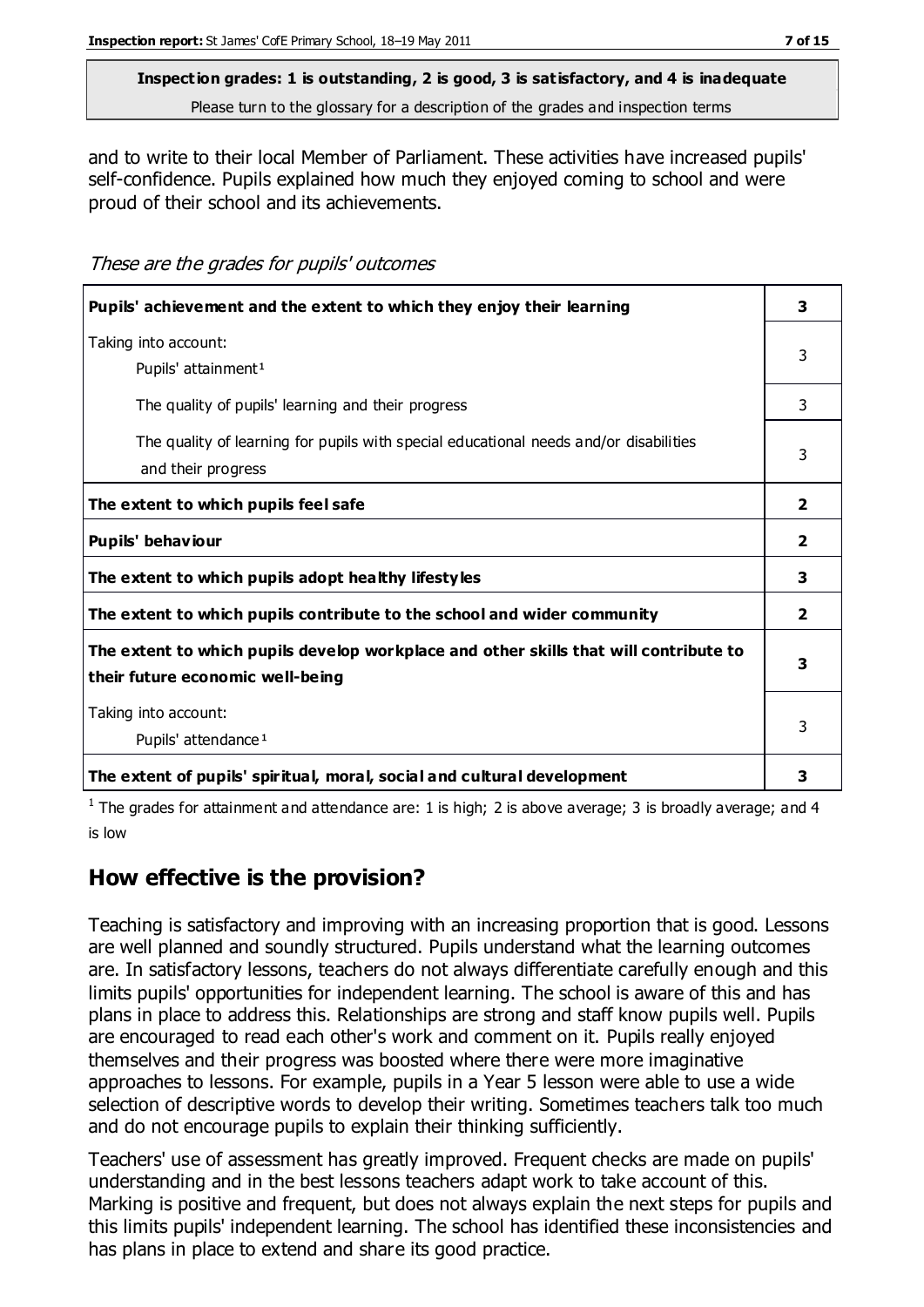and to write to their local Member of Parliament. These activities have increased pupils' self-confidence. Pupils explained how much they enjoyed coming to school and were proud of their school and its achievements.

These are the grades for pupils' outcomes

| Pupils' achievement and the extent to which they enjoy their learning                                                     | 3            |
|---------------------------------------------------------------------------------------------------------------------------|--------------|
| Taking into account:<br>Pupils' attainment <sup>1</sup>                                                                   | 3            |
| The quality of pupils' learning and their progress                                                                        | 3            |
| The quality of learning for pupils with special educational needs and/or disabilities<br>and their progress               | 3            |
| The extent to which pupils feel safe                                                                                      | 2            |
| Pupils' behaviour                                                                                                         | $\mathbf{2}$ |
| The extent to which pupils adopt healthy lifestyles                                                                       | 3            |
| The extent to which pupils contribute to the school and wider community                                                   | $\mathbf{2}$ |
| The extent to which pupils develop workplace and other skills that will contribute to<br>their future economic well-being | 3            |
| Taking into account:<br>Pupils' attendance <sup>1</sup>                                                                   | 3            |
| The extent of pupils' spiritual, moral, social and cultural development                                                   | 3            |

<sup>1</sup> The grades for attainment and attendance are: 1 is high; 2 is above average; 3 is broadly average; and 4 is low

# **How effective is the provision?**

Teaching is satisfactory and improving with an increasing proportion that is good. Lessons are well planned and soundly structured. Pupils understand what the learning outcomes are. In satisfactory lessons, teachers do not always differentiate carefully enough and this limits pupils' opportunities for independent learning. The school is aware of this and has plans in place to address this. Relationships are strong and staff know pupils well. Pupils are encouraged to read each other's work and comment on it. Pupils really enjoyed themselves and their progress was boosted where there were more imaginative approaches to lessons. For example, pupils in a Year 5 lesson were able to use a wide selection of descriptive words to develop their writing. Sometimes teachers talk too much and do not encourage pupils to explain their thinking sufficiently.

Teachers' use of assessment has greatly improved. Frequent checks are made on pupils' understanding and in the best lessons teachers adapt work to take account of this. Marking is positive and frequent, but does not always explain the next steps for pupils and this limits pupils' independent learning. The school has identified these inconsistencies and has plans in place to extend and share its good practice.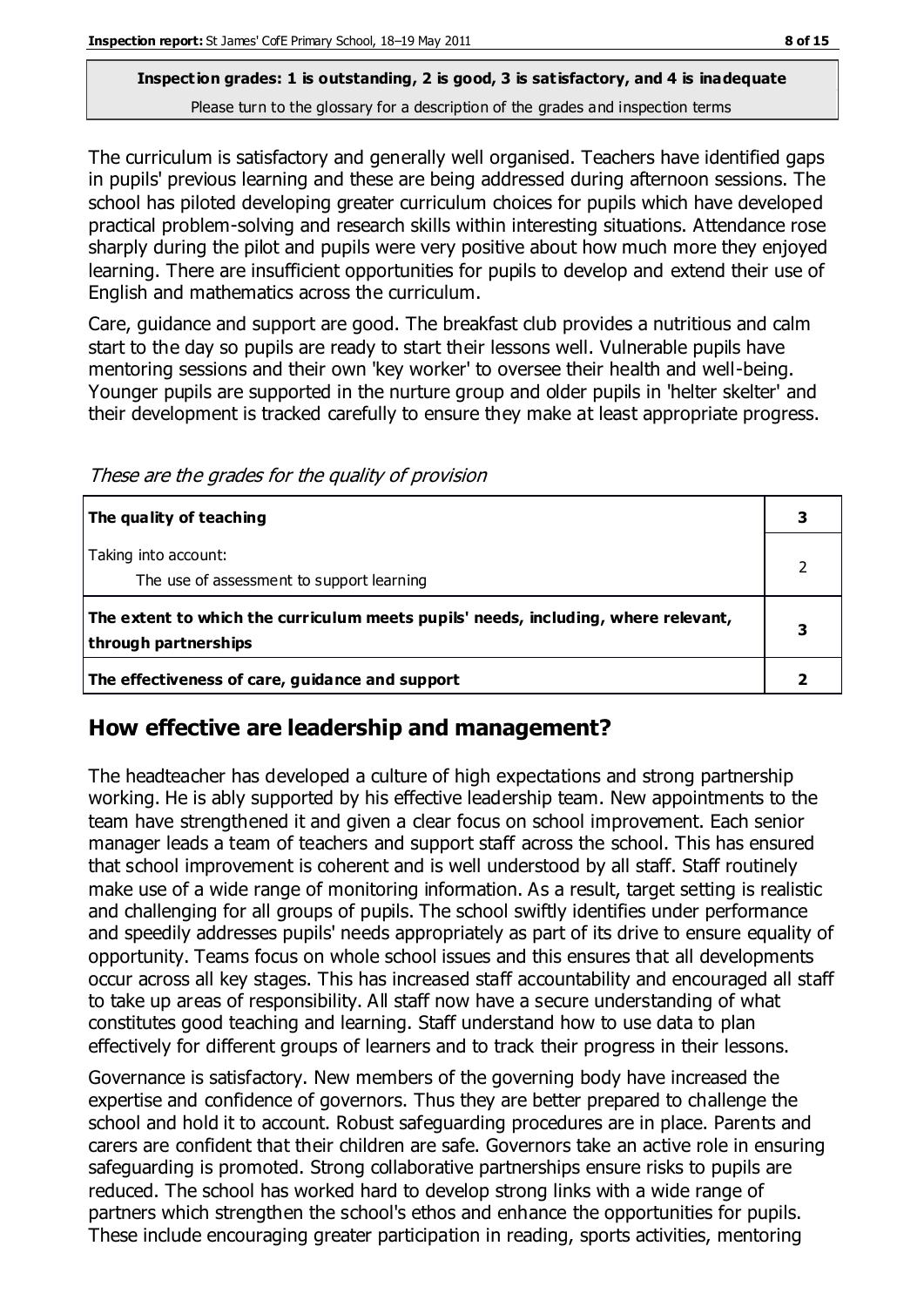The curriculum is satisfactory and generally well organised. Teachers have identified gaps in pupils' previous learning and these are being addressed during afternoon sessions. The school has piloted developing greater curriculum choices for pupils which have developed practical problem-solving and research skills within interesting situations. Attendance rose sharply during the pilot and pupils were very positive about how much more they enjoyed learning. There are insufficient opportunities for pupils to develop and extend their use of English and mathematics across the curriculum.

Care, guidance and support are good. The breakfast club provides a nutritious and calm start to the day so pupils are ready to start their lessons well. Vulnerable pupils have mentoring sessions and their own 'key worker' to oversee their health and well-being. Younger pupils are supported in the nurture group and older pupils in 'helter skelter' and their development is tracked carefully to ensure they make at least appropriate progress.

These are the grades for the quality of provision

| The quality of teaching                                                                                    |  |
|------------------------------------------------------------------------------------------------------------|--|
| Taking into account:<br>The use of assessment to support learning                                          |  |
| The extent to which the curriculum meets pupils' needs, including, where relevant,<br>through partnerships |  |
| The effectiveness of care, guidance and support                                                            |  |

### **How effective are leadership and management?**

The headteacher has developed a culture of high expectations and strong partnership working. He is ably supported by his effective leadership team. New appointments to the team have strengthened it and given a clear focus on school improvement. Each senior manager leads a team of teachers and support staff across the school. This has ensured that school improvement is coherent and is well understood by all staff. Staff routinely make use of a wide range of monitoring information. As a result, target setting is realistic and challenging for all groups of pupils. The school swiftly identifies under performance and speedily addresses pupils' needs appropriately as part of its drive to ensure equality of opportunity. Teams focus on whole school issues and this ensures that all developments occur across all key stages. This has increased staff accountability and encouraged all staff to take up areas of responsibility. All staff now have a secure understanding of what constitutes good teaching and learning. Staff understand how to use data to plan effectively for different groups of learners and to track their progress in their lessons.

Governance is satisfactory. New members of the governing body have increased the expertise and confidence of governors. Thus they are better prepared to challenge the school and hold it to account. Robust safeguarding procedures are in place. Parents and carers are confident that their children are safe. Governors take an active role in ensuring safeguarding is promoted. Strong collaborative partnerships ensure risks to pupils are reduced. The school has worked hard to develop strong links with a wide range of partners which strengthen the school's ethos and enhance the opportunities for pupils. These include encouraging greater participation in reading, sports activities, mentoring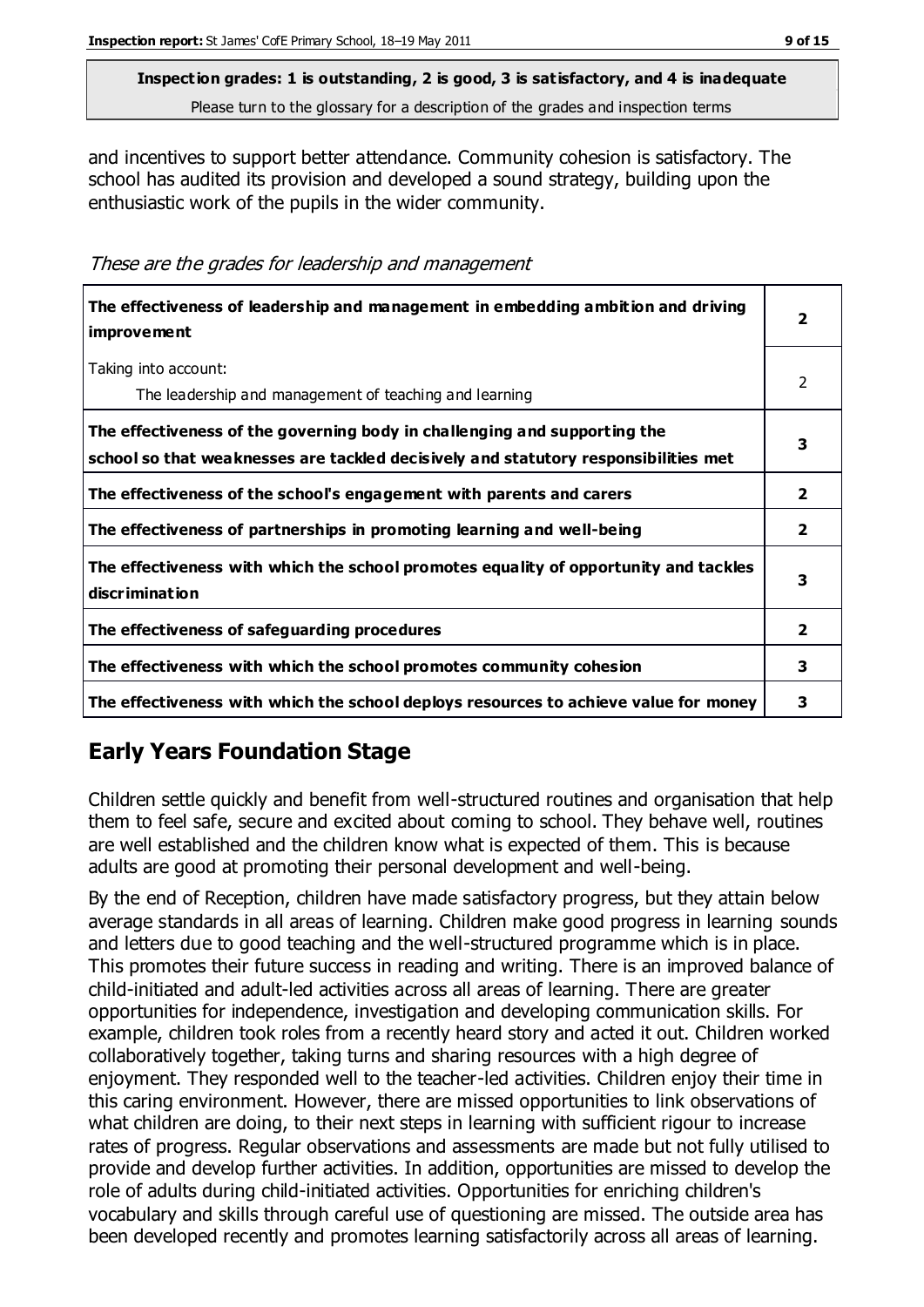and incentives to support better attendance. Community cohesion is satisfactory. The school has audited its provision and developed a sound strategy, building upon the enthusiastic work of the pupils in the wider community.

These are the grades for leadership and management

| The effectiveness of leadership and management in embedding ambition and driving<br><i>improvement</i>                                                           | 2            |
|------------------------------------------------------------------------------------------------------------------------------------------------------------------|--------------|
| Taking into account:<br>The leadership and management of teaching and learning                                                                                   | 2            |
| The effectiveness of the governing body in challenging and supporting the<br>school so that weaknesses are tackled decisively and statutory responsibilities met | 3            |
| The effectiveness of the school's engagement with parents and carers                                                                                             | 2            |
| The effectiveness of partnerships in promoting learning and well-being                                                                                           | $\mathbf{2}$ |
| The effectiveness with which the school promotes equality of opportunity and tackles<br>discrimination                                                           | 3            |
| The effectiveness of safeguarding procedures                                                                                                                     | 2            |
| The effectiveness with which the school promotes community cohesion                                                                                              | 3            |
| The effectiveness with which the school deploys resources to achieve value for money                                                                             | 3            |

# **Early Years Foundation Stage**

Children settle quickly and benefit from well-structured routines and organisation that help them to feel safe, secure and excited about coming to school. They behave well, routines are well established and the children know what is expected of them. This is because adults are good at promoting their personal development and well-being.

By the end of Reception, children have made satisfactory progress, but they attain below average standards in all areas of learning. Children make good progress in learning sounds and letters due to good teaching and the well-structured programme which is in place. This promotes their future success in reading and writing. There is an improved balance of child-initiated and adult-led activities across all areas of learning. There are greater opportunities for independence, investigation and developing communication skills. For example, children took roles from a recently heard story and acted it out. Children worked collaboratively together, taking turns and sharing resources with a high degree of enjoyment. They responded well to the teacher-led activities. Children enjoy their time in this caring environment. However, there are missed opportunities to link observations of what children are doing, to their next steps in learning with sufficient rigour to increase rates of progress. Regular observations and assessments are made but not fully utilised to provide and develop further activities. In addition, opportunities are missed to develop the role of adults during child-initiated activities. Opportunities for enriching children's vocabulary and skills through careful use of questioning are missed. The outside area has been developed recently and promotes learning satisfactorily across all areas of learning.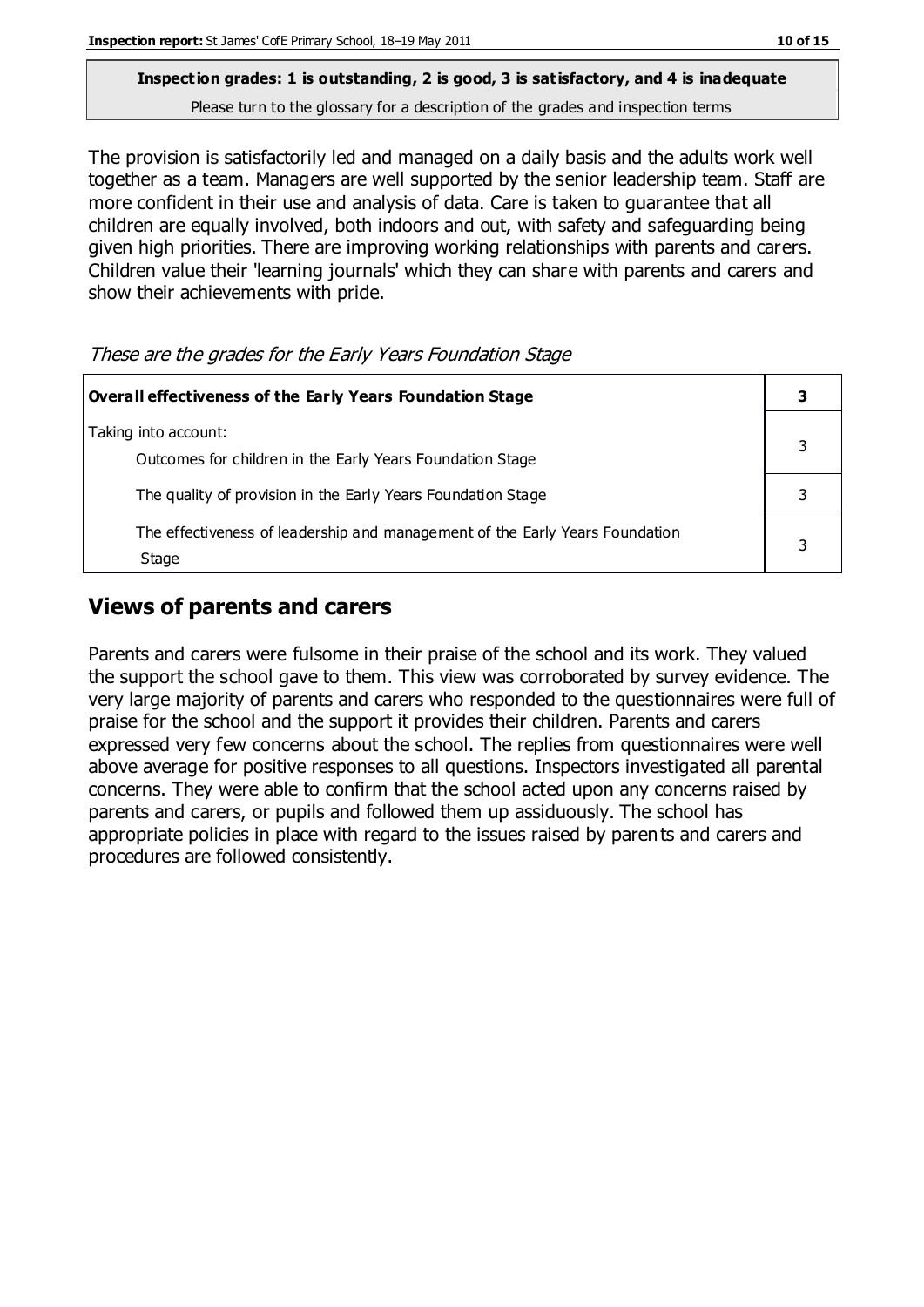The provision is satisfactorily led and managed on a daily basis and the adults work well together as a team. Managers are well supported by the senior leadership team. Staff are more confident in their use and analysis of data. Care is taken to guarantee that all children are equally involved, both indoors and out, with safety and safeguarding being given high priorities. There are improving working relationships with parents and carers. Children value their 'learning journals' which they can share with parents and carers and show their achievements with pride.

These are the grades for the Early Years Foundation Stage

| Overall effectiveness of the Early Years Foundation Stage                             |  |
|---------------------------------------------------------------------------------------|--|
| Taking into account:<br>Outcomes for children in the Early Years Foundation Stage     |  |
| The quality of provision in the Early Years Foundation Stage                          |  |
| The effectiveness of leadership and management of the Early Years Foundation<br>Stage |  |

# **Views of parents and carers**

Parents and carers were fulsome in their praise of the school and its work. They valued the support the school gave to them. This view was corroborated by survey evidence. The very large majority of parents and carers who responded to the questionnaires were full of praise for the school and the support it provides their children. Parents and carers expressed very few concerns about the school. The replies from questionnaires were well above average for positive responses to all questions. Inspectors investigated all parental concerns. They were able to confirm that the school acted upon any concerns raised by parents and carers, or pupils and followed them up assiduously. The school has appropriate policies in place with regard to the issues raised by parents and carers and procedures are followed consistently.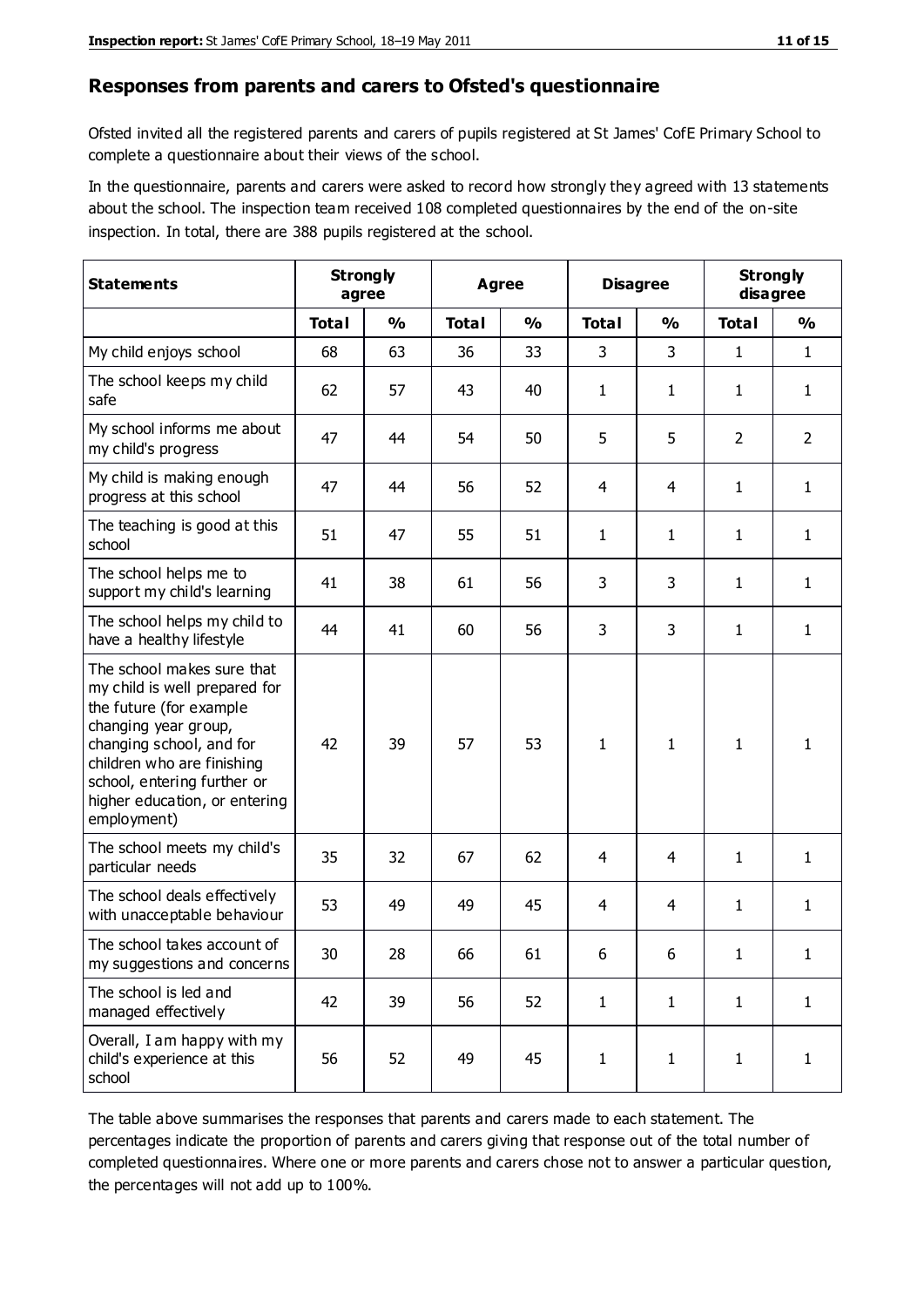#### **Responses from parents and carers to Ofsted's questionnaire**

Ofsted invited all the registered parents and carers of pupils registered at St James' CofE Primary School to complete a questionnaire about their views of the school.

In the questionnaire, parents and carers were asked to record how strongly they agreed with 13 statements about the school. The inspection team received 108 completed questionnaires by the end of the on-site inspection. In total, there are 388 pupils registered at the school.

| <b>Statements</b>                                                                                                                                                                                                                                       |              | <b>Strongly</b><br>agree |              | <b>Agree</b>  |              | <b>Disagree</b> |                | <b>Strongly</b><br>disagree |
|---------------------------------------------------------------------------------------------------------------------------------------------------------------------------------------------------------------------------------------------------------|--------------|--------------------------|--------------|---------------|--------------|-----------------|----------------|-----------------------------|
|                                                                                                                                                                                                                                                         | <b>Total</b> | $\frac{0}{0}$            | <b>Total</b> | $\frac{0}{0}$ | <b>Total</b> | $\frac{0}{0}$   | <b>Total</b>   | $\frac{0}{0}$               |
| My child enjoys school                                                                                                                                                                                                                                  | 68           | 63                       | 36           | 33            | 3            | 3               | $\mathbf{1}$   | $\mathbf{1}$                |
| The school keeps my child<br>safe                                                                                                                                                                                                                       | 62           | 57                       | 43           | 40            | $\mathbf{1}$ | 1               | $\mathbf{1}$   | $\mathbf{1}$                |
| My school informs me about<br>my child's progress                                                                                                                                                                                                       | 47           | 44                       | 54           | 50            | 5            | 5               | $\overline{2}$ | $\overline{2}$              |
| My child is making enough<br>progress at this school                                                                                                                                                                                                    | 47           | 44                       | 56           | 52            | 4            | 4               | 1              | $\mathbf{1}$                |
| The teaching is good at this<br>school                                                                                                                                                                                                                  | 51           | 47                       | 55           | 51            | $\mathbf{1}$ | $\mathbf{1}$    | $\mathbf{1}$   | $\mathbf{1}$                |
| The school helps me to<br>support my child's learning                                                                                                                                                                                                   | 41           | 38                       | 61           | 56            | 3            | 3               | $\mathbf{1}$   | $\mathbf{1}$                |
| The school helps my child to<br>have a healthy lifestyle                                                                                                                                                                                                | 44           | 41                       | 60           | 56            | 3            | 3               | 1              | 1                           |
| The school makes sure that<br>my child is well prepared for<br>the future (for example<br>changing year group,<br>changing school, and for<br>children who are finishing<br>school, entering further or<br>higher education, or entering<br>employment) | 42           | 39                       | 57           | 53            | $\mathbf{1}$ | 1               | $\mathbf{1}$   | $\mathbf{1}$                |
| The school meets my child's<br>particular needs                                                                                                                                                                                                         | 35           | 32                       | 67           | 62            | 4            | 4               | 1              | $\mathbf{1}$                |
| The school deals effectively<br>with unacceptable behaviour                                                                                                                                                                                             | 53           | 49                       | 49           | 45            | 4            | $\overline{4}$  | 1              | $\mathbf{1}$                |
| The school takes account of<br>my suggestions and concerns                                                                                                                                                                                              | 30           | 28                       | 66           | 61            | 6            | 6               | 1              | 1                           |
| The school is led and<br>managed effectively                                                                                                                                                                                                            | 42           | 39                       | 56           | 52            | $\mathbf{1}$ | $\mathbf{1}$    | $\mathbf{1}$   | $\mathbf{1}$                |
| Overall, I am happy with my<br>child's experience at this<br>school                                                                                                                                                                                     | 56           | 52                       | 49           | 45            | $\mathbf{1}$ | $\mathbf{1}$    | $\mathbf{1}$   | $\mathbf{1}$                |

The table above summarises the responses that parents and carers made to each statement. The percentages indicate the proportion of parents and carers giving that response out of the total number of completed questionnaires. Where one or more parents and carers chose not to answer a particular question, the percentages will not add up to 100%.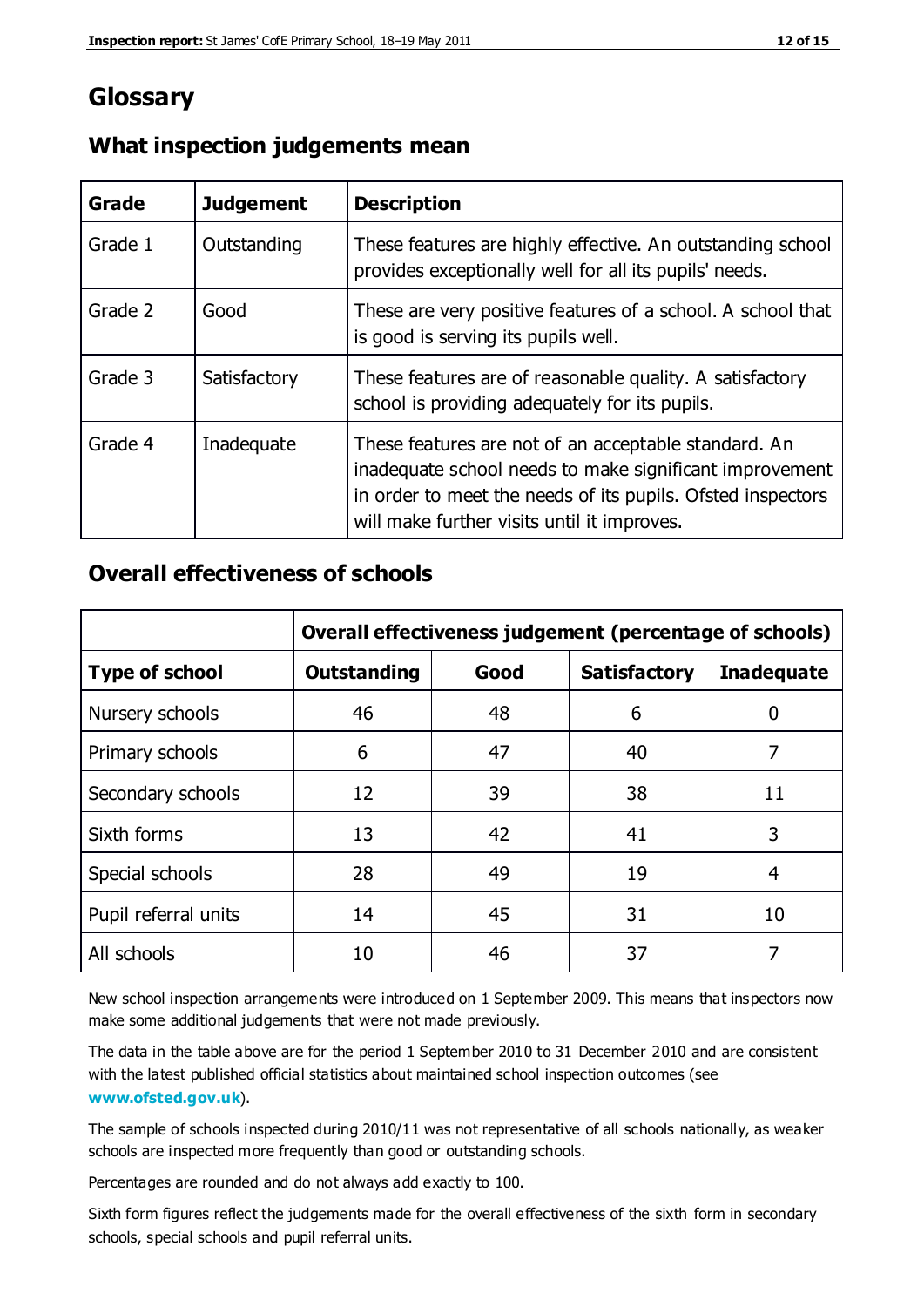# **Glossary**

| Grade   | <b>Judgement</b> | <b>Description</b>                                                                                                                                                                                                            |
|---------|------------------|-------------------------------------------------------------------------------------------------------------------------------------------------------------------------------------------------------------------------------|
| Grade 1 | Outstanding      | These features are highly effective. An outstanding school<br>provides exceptionally well for all its pupils' needs.                                                                                                          |
| Grade 2 | Good             | These are very positive features of a school. A school that<br>is good is serving its pupils well.                                                                                                                            |
| Grade 3 | Satisfactory     | These features are of reasonable quality. A satisfactory<br>school is providing adequately for its pupils.                                                                                                                    |
| Grade 4 | Inadequate       | These features are not of an acceptable standard. An<br>inadequate school needs to make significant improvement<br>in order to meet the needs of its pupils. Ofsted inspectors<br>will make further visits until it improves. |

### **What inspection judgements mean**

## **Overall effectiveness of schools**

|                       | Overall effectiveness judgement (percentage of schools) |      |                     |                   |  |
|-----------------------|---------------------------------------------------------|------|---------------------|-------------------|--|
| <b>Type of school</b> | <b>Outstanding</b>                                      | Good | <b>Satisfactory</b> | <b>Inadequate</b> |  |
| Nursery schools       | 46                                                      | 48   | 6                   |                   |  |
| Primary schools       | 6                                                       | 47   | 40                  | 7                 |  |
| Secondary schools     | 12                                                      | 39   | 38                  | 11                |  |
| Sixth forms           | 13                                                      | 42   | 41                  | 3                 |  |
| Special schools       | 28                                                      | 49   | 19                  | 4                 |  |
| Pupil referral units  | 14                                                      | 45   | 31                  | 10                |  |
| All schools           | 10                                                      | 46   | 37                  |                   |  |

New school inspection arrangements were introduced on 1 September 2009. This means that inspectors now make some additional judgements that were not made previously.

The data in the table above are for the period 1 September 2010 to 31 December 2010 and are consistent with the latest published official statistics about maintained school inspection outcomes (see **[www.ofsted.gov.uk](http://www.ofsted.gov.uk/)**).

The sample of schools inspected during 2010/11 was not representative of all schools nationally, as weaker schools are inspected more frequently than good or outstanding schools.

Percentages are rounded and do not always add exactly to 100.

Sixth form figures reflect the judgements made for the overall effectiveness of the sixth form in secondary schools, special schools and pupil referral units.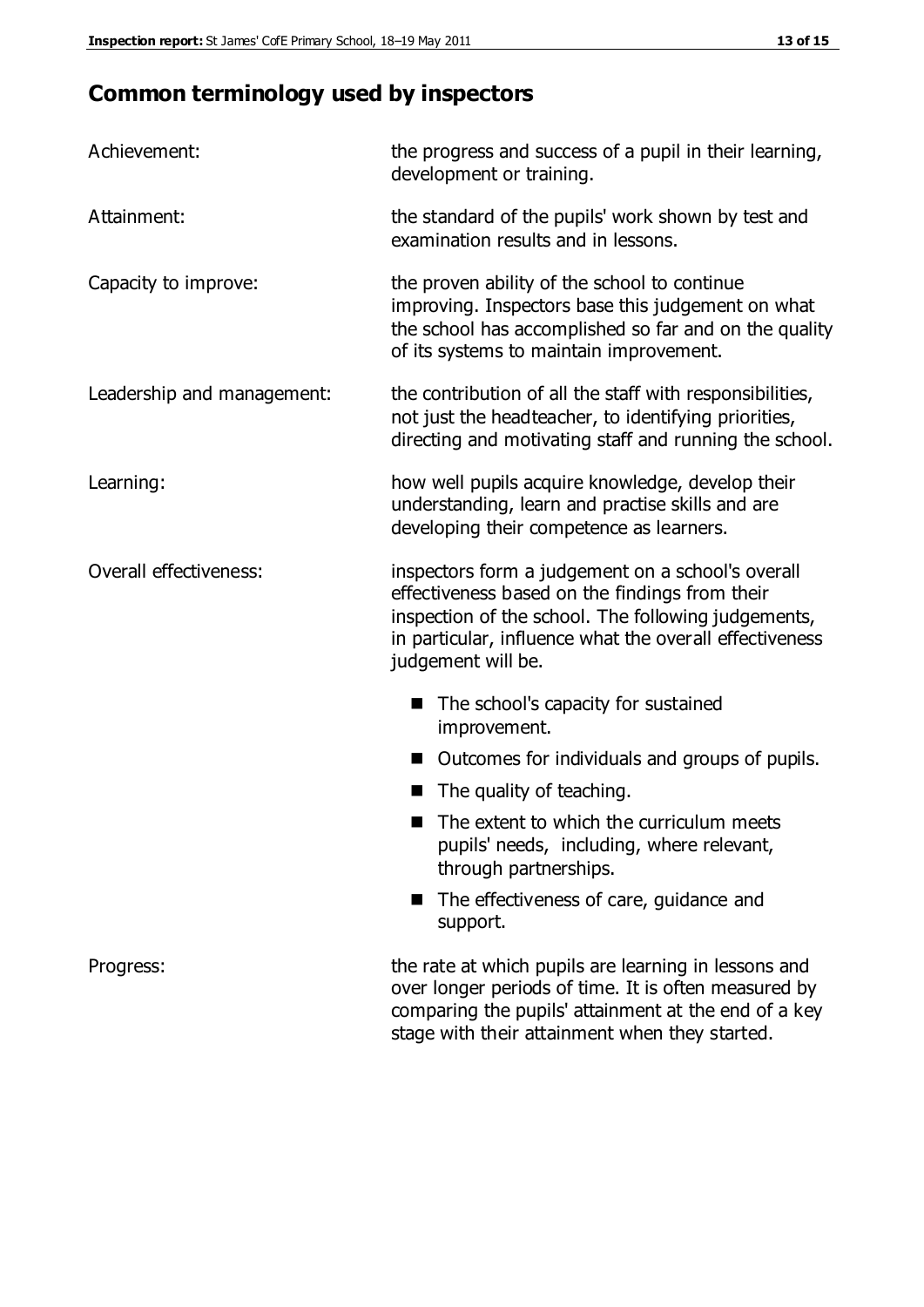# **Common terminology used by inspectors**

| Achievement:                  | the progress and success of a pupil in their learning,<br>development or training.                                                                                                                                                          |
|-------------------------------|---------------------------------------------------------------------------------------------------------------------------------------------------------------------------------------------------------------------------------------------|
| Attainment:                   | the standard of the pupils' work shown by test and<br>examination results and in lessons.                                                                                                                                                   |
| Capacity to improve:          | the proven ability of the school to continue<br>improving. Inspectors base this judgement on what<br>the school has accomplished so far and on the quality<br>of its systems to maintain improvement.                                       |
| Leadership and management:    | the contribution of all the staff with responsibilities,<br>not just the headteacher, to identifying priorities,<br>directing and motivating staff and running the school.                                                                  |
| Learning:                     | how well pupils acquire knowledge, develop their<br>understanding, learn and practise skills and are<br>developing their competence as learners.                                                                                            |
| <b>Overall effectiveness:</b> | inspectors form a judgement on a school's overall<br>effectiveness based on the findings from their<br>inspection of the school. The following judgements,<br>in particular, influence what the overall effectiveness<br>judgement will be. |
|                               | The school's capacity for sustained<br>improvement.                                                                                                                                                                                         |
|                               | Outcomes for individuals and groups of pupils.                                                                                                                                                                                              |
|                               | The quality of teaching.                                                                                                                                                                                                                    |
|                               | The extent to which the curriculum meets<br>pupils' needs, including, where relevant,<br>through partnerships.                                                                                                                              |
|                               | The effectiveness of care, guidance and<br>support.                                                                                                                                                                                         |
| Progress:                     | the rate at which pupils are learning in lessons and<br>over longer periods of time. It is often measured by<br>comparing the pupils' attainment at the end of a key                                                                        |

stage with their attainment when they started.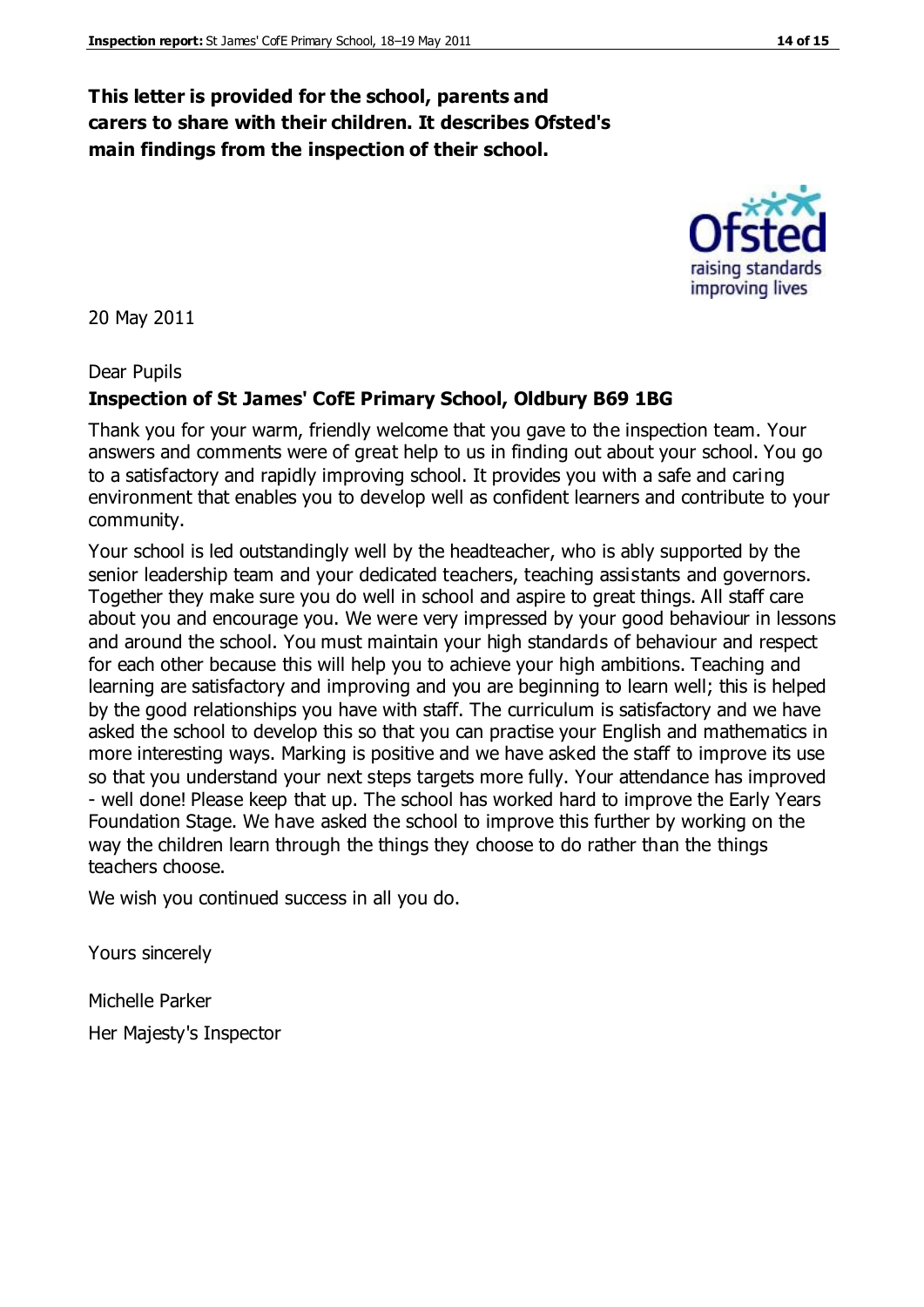### **This letter is provided for the school, parents and carers to share with their children. It describes Ofsted's main findings from the inspection of their school.**

20 May 2011

Dear Pupils

#### **Inspection of St James' CofE Primary School, Oldbury B69 1BG**

Thank you for your warm, friendly welcome that you gave to the inspection team. Your answers and comments were of great help to us in finding out about your school. You go to a satisfactory and rapidly improving school. It provides you with a safe and caring environment that enables you to develop well as confident learners and contribute to your community.

Your school is led outstandingly well by the headteacher, who is ably supported by the senior leadership team and your dedicated teachers, teaching assistants and governors. Together they make sure you do well in school and aspire to great things. All staff care about you and encourage you. We were very impressed by your good behaviour in lessons and around the school. You must maintain your high standards of behaviour and respect for each other because this will help you to achieve your high ambitions. Teaching and learning are satisfactory and improving and you are beginning to learn well; this is helped by the good relationships you have with staff. The curriculum is satisfactory and we have asked the school to develop this so that you can practise your English and mathematics in more interesting ways. Marking is positive and we have asked the staff to improve its use so that you understand your next steps targets more fully. Your attendance has improved - well done! Please keep that up. The school has worked hard to improve the Early Years Foundation Stage. We have asked the school to improve this further by working on the way the children learn through the things they choose to do rather than the things teachers choose.

We wish you continued success in all you do.

Yours sincerely

Michelle Parker

Her Majesty's Inspector